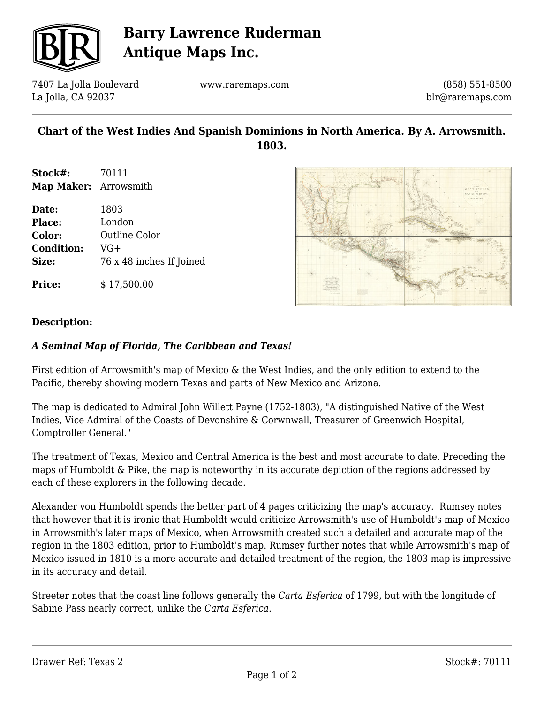

# **Barry Lawrence Ruderman Antique Maps Inc.**

7407 La Jolla Boulevard La Jolla, CA 92037

www.raremaps.com

(858) 551-8500 blr@raremaps.com

### **Chart of the West Indies And Spanish Dominions in North America. By A. Arrowsmith. 1803.**

**Stock#:** 70111 **Map Maker:** Arrowsmith

| Date:             | 1803                     |
|-------------------|--------------------------|
| <b>Place:</b>     | London                   |
| <b>Color:</b>     | Outline Color            |
| <b>Condition:</b> | VG+                      |
| Size:             | 76 x 48 inches If Joined |
|                   |                          |

**Price:**  $$17.500.00$ 



#### **Description:**

#### *A Seminal Map of Florida, The Caribbean and Texas!*

First edition of Arrowsmith's map of Mexico & the West Indies, and the only edition to extend to the Pacific, thereby showing modern Texas and parts of New Mexico and Arizona.

The map is dedicated to Admiral John Willett Payne (1752-1803), "A distinguished Native of the West Indies, Vice Admiral of the Coasts of Devonshire & Corwnwall, Treasurer of Greenwich Hospital, Comptroller General."

The treatment of Texas, Mexico and Central America is the best and most accurate to date. Preceding the maps of Humboldt & Pike, the map is noteworthy in its accurate depiction of the regions addressed by each of these explorers in the following decade.

Alexander von Humboldt spends the better part of 4 pages criticizing the map's accuracy. Rumsey notes that however that it is ironic that Humboldt would criticize Arrowsmith's use of Humboldt's map of Mexico in Arrowsmith's later maps of Mexico, when Arrowsmith created such a detailed and accurate map of the region in the 1803 edition, prior to Humboldt's map. Rumsey further notes that while Arrowsmith's map of Mexico issued in 1810 is a more accurate and detailed treatment of the region, the 1803 map is impressive in its accuracy and detail.

Streeter notes that the coast line follows generally the *Carta Esferica* of 1799, but with the longitude of Sabine Pass nearly correct, unlike the *Carta Esferica*.